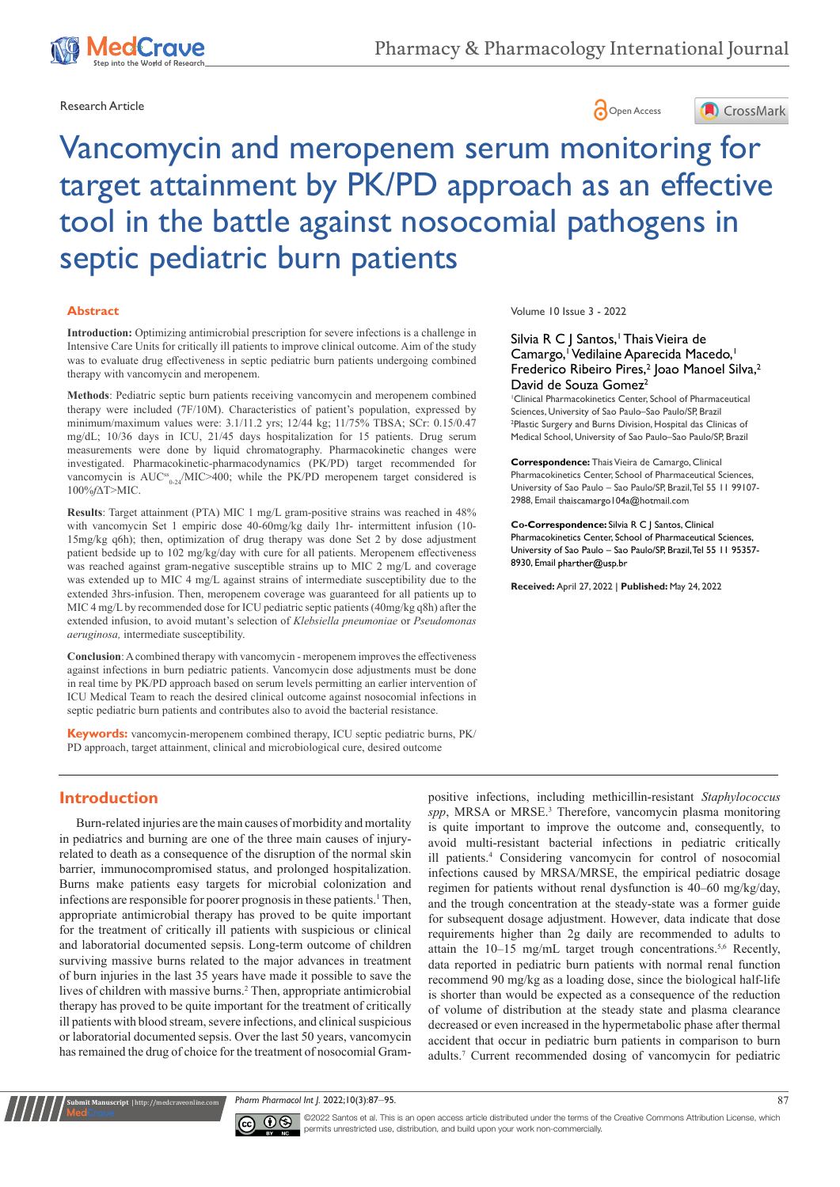



# Vancomycin and meropenem serum monitoring for target attainment by PK/PD approach as an effective tool in the battle against nosocomial pathogens in septic pediatric burn patients

#### **Abstract**

**Introduction:** Optimizing antimicrobial prescription for severe infections is a challenge in Intensive Care Units for critically ill patients to improve clinical outcome. Aim of the study was to evaluate drug effectiveness in septic pediatric burn patients undergoing combined therapy with vancomycin and meropenem.

**Methods**: Pediatric septic burn patients receiving vancomycin and meropenem combined therapy were included (7F/10M). Characteristics of patient's population, expressed by minimum/maximum values were: 3.1/11.2 yrs; 12/44 kg; 11/75% TBSA; SCr: 0.15/0.47 mg/dL; 10/36 days in ICU, 21/45 days hospitalization for 15 patients. Drug serum measurements were done by liquid chromatography. Pharmacokinetic changes were investigated. Pharmacokinetic-pharmacodynamics (PK/PD) target recommended for vancomycin is AUC<sup>ss</sup><sub>0-24</sub>/MIC>400; while the PK/PD meropenem target considered is 100%*f*∆T>MIC.

**Results**: Target attainment (PTA) MIC 1 mg/L gram-positive strains was reached in 48% with vancomycin Set 1 empiric dose 40-60mg/kg daily 1hr- intermittent infusion (10- 15mg/kg q6h); then, optimization of drug therapy was done Set 2 by dose adjustment patient bedside up to 102 mg/kg/day with cure for all patients. Meropenem effectiveness was reached against gram-negative susceptible strains up to MIC 2 mg/L and coverage was extended up to MIC 4 mg/L against strains of intermediate susceptibility due to the extended 3hrs-infusion. Then, meropenem coverage was guaranteed for all patients up to MIC 4 mg/L by recommended dose for ICU pediatric septic patients (40mg/kg q8h) after the extended infusion, to avoid mutant's selection of *Klebsiella pneumoniae* or *Pseudomonas aeruginosa,* intermediate susceptibility.

**Conclusion**: A combined therapy with vancomycin - meropenem improves the effectiveness against infections in burn pediatric patients. Vancomycin dose adjustments must be done in real time by PK/PD approach based on serum levels permitting an earlier intervention of ICU Medical Team to reach the desired clinical outcome against nosocomial infections in septic pediatric burn patients and contributes also to avoid the bacterial resistance.

**Keywords:** vancomycin-meropenem combined therapy, ICU septic pediatric burns, PK/ PD approach, target attainment, clinical and microbiological cure, desired outcome

# **Introduction**

**it Manuscript** | http://medcraveonline.c

Burn-related injuries are the main causes of morbidity and mortality in pediatrics and burning are one of the three main causes of injuryrelated to death as a consequence of the disruption of the normal skin barrier, immunocompromised status, and prolonged hospitalization. Burns make patients easy targets for microbial colonization and infections are responsible for poorer prognosis in these patients.<sup>1</sup> Then, appropriate antimicrobial therapy has proved to be quite important for the treatment of critically ill patients with suspicious or clinical and laboratorial documented sepsis. Long-term outcome of children surviving massive burns related to the major advances in treatment of burn injuries in the last 35 years have made it possible to save the lives of children with massive burns.2 Then, appropriate antimicrobial therapy has proved to be quite important for the treatment of critically ill patients with blood stream, severe infections, and clinical suspicious or laboratorial documented sepsis. Over the last 50 years, vancomycin has remained the drug of choice for the treatment of nosocomial Grampositive infections, including methicillin-resistant *Staphylococcus*  spp, MRSA or MRSE.<sup>3</sup> Therefore, vancomycin plasma monitoring is quite important to improve the outcome and, consequently, to avoid multi-resistant bacterial infections in pediatric critically ill patients.4 Considering vancomycin for control of nosocomial infections caused by MRSA/MRSE, the empirical pediatric dosage regimen for patients without renal dysfunction is 40–60 mg/kg/day, and the trough concentration at the steady-state was a former guide for subsequent dosage adjustment. However, data indicate that dose requirements higher than 2g daily are recommended to adults to attain the  $10-15$  mg/mL target trough concentrations.<sup>5,6</sup> Recently, data reported in pediatric burn patients with normal renal function recommend 90 mg/kg as a loading dose, since the biological half-life is shorter than would be expected as a consequence of the reduction of volume of distribution at the steady state and plasma clearance decreased or even increased in the hypermetabolic phase after thermal accident that occur in pediatric burn patients in comparison to burn adults.7 Current recommended dosing of vancomycin for pediatric

*Pharm Pharmacol Int J.* 2022;10(3):87‒95. 87



©2022 Santos et al. This is an open access article distributed under the terms of the Creative Commons Attribution License, which permits unrestricted use, distribution, and build upon your work non-commercially.

Volume 10 Issue 3 - 2022

#### Silvia R C J Santos, Thais Vieira de Camargo,<sup>1</sup> Vedilaine Aparecida Macedo,<sup>1</sup> Frederico Ribeiro Pires,<sup>2</sup> Joao Manoel Silva,<sup>2</sup> David de Souza Gomez<sup>2</sup>

1 Clinical Pharmacokinetics Center, School of Pharmaceutical Sciences, University of Sao Paulo–Sao Paulo/SP, Brazil 2 Plastic Surgery and Burns Division, Hospital das Clinicas of Medical School, University of Sao Paulo–Sao Paulo/SP, Brazil

**Correspondence:** Thais Vieira de Camargo, Clinical Pharmacokinetics Center, School of Pharmaceutical Sciences, University of Sao Paulo – Sao Paulo/SP, Brazil, Tel 55 11 99107- 2988, Email thaiscamargo I 04a@hotmail.com

**Co-Correspondence:** Silvia R C J Santos, Clinical Pharmacokinetics Center, School of Pharmaceutical Sciences, University of Sao Paulo – Sao Paulo/SP, Brazil, Tel 55 11 95357- 8930, Email pharther@usp.br

**Received:** April 27, 2022 | **Published:** May 24, 2022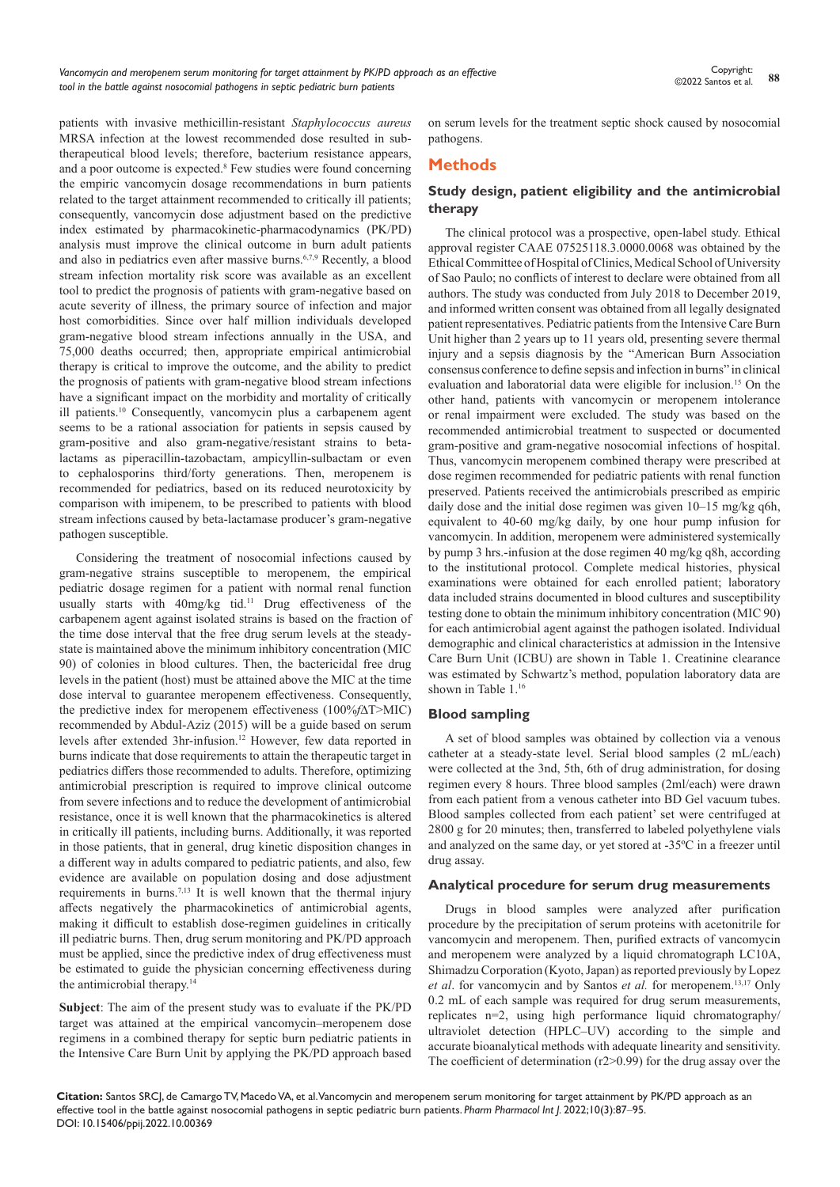patients with invasive methicillin-resistant *Staphylococcus aureus* MRSA infection at the lowest recommended dose resulted in subtherapeutical blood levels; therefore, bacterium resistance appears, and a poor outcome is expected.<sup>8</sup> Few studies were found concerning the empiric vancomycin dosage recommendations in burn patients related to the target attainment recommended to critically ill patients; consequently, vancomycin dose adjustment based on the predictive index estimated by pharmacokinetic-pharmacodynamics (PK/PD) analysis must improve the clinical outcome in burn adult patients and also in pediatrics even after massive burns.6,7,9 Recently, a blood stream infection mortality risk score was available as an excellent tool to predict the prognosis of patients with gram-negative based on acute severity of illness, the primary source of infection and major host comorbidities. Since over half million individuals developed gram-negative blood stream infections annually in the USA, and 75,000 deaths occurred; then, appropriate empirical antimicrobial therapy is critical to improve the outcome, and the ability to predict the prognosis of patients with gram-negative blood stream infections have a significant impact on the morbidity and mortality of critically ill patients.10 Consequently, vancomycin plus a carbapenem agent seems to be a rational association for patients in sepsis caused by gram-positive and also gram-negative/resistant strains to betalactams as piperacillin-tazobactam, ampicyllin-sulbactam or even to cephalosporins third/forty generations. Then, meropenem is recommended for pediatrics, based on its reduced neurotoxicity by comparison with imipenem, to be prescribed to patients with blood stream infections caused by beta-lactamase producer's gram-negative pathogen susceptible.

Considering the treatment of nosocomial infections caused by gram-negative strains susceptible to meropenem, the empirical pediatric dosage regimen for a patient with normal renal function usually starts with 40mg/kg tid.<sup>11</sup> Drug effectiveness of the carbapenem agent against isolated strains is based on the fraction of the time dose interval that the free drug serum levels at the steadystate is maintained above the minimum inhibitory concentration (MIC 90) of colonies in blood cultures. Then, the bactericidal free drug levels in the patient (host) must be attained above the MIC at the time dose interval to guarantee meropenem effectiveness. Consequently, the predictive index for meropenem effectiveness (100%*f*∆T>MIC) recommended by Abdul-Aziz (2015) will be a guide based on serum levels after extended 3hr-infusion.<sup>12</sup> However, few data reported in burns indicate that dose requirements to attain the therapeutic target in pediatrics differs those recommended to adults. Therefore, optimizing antimicrobial prescription is required to improve clinical outcome from severe infections and to reduce the development of antimicrobial resistance, once it is well known that the pharmacokinetics is altered in critically ill patients, including burns. Additionally, it was reported in those patients, that in general, drug kinetic disposition changes in a different way in adults compared to pediatric patients, and also, few evidence are available on population dosing and dose adjustment requirements in burns.7,13 It is well known that the thermal injury affects negatively the pharmacokinetics of antimicrobial agents, making it difficult to establish dose-regimen guidelines in critically ill pediatric burns. Then, drug serum monitoring and PK/PD approach must be applied, since the predictive index of drug effectiveness must be estimated to guide the physician concerning effectiveness during the antimicrobial therapy.<sup>14</sup>

**Subject**: The aim of the present study was to evaluate if the PK/PD target was attained at the empirical vancomycin–meropenem dose regimens in a combined therapy for septic burn pediatric patients in the Intensive Care Burn Unit by applying the PK/PD approach based on serum levels for the treatment septic shock caused by nosocomial pathogens.

# **Methods**

# **Study design, patient eligibility and the antimicrobial therapy**

The clinical protocol was a prospective, open-label study. Ethical approval register CAAE 07525118.3.0000.0068 was obtained by the Ethical Committee of Hospital of Clinics, Medical School of University of Sao Paulo; no conflicts of interest to declare were obtained from all authors. The study was conducted from July 2018 to December 2019, and informed written consent was obtained from all legally designated patient representatives. Pediatric patients from the Intensive Care Burn Unit higher than 2 years up to 11 years old, presenting severe thermal injury and a sepsis diagnosis by the "American Burn Association consensus conference to define sepsis and infection in burns" in clinical evaluation and laboratorial data were eligible for inclusion.<sup>15</sup> On the other hand, patients with vancomycin or meropenem intolerance or renal impairment were excluded. The study was based on the recommended antimicrobial treatment to suspected or documented gram-positive and gram-negative nosocomial infections of hospital. Thus, vancomycin meropenem combined therapy were prescribed at dose regimen recommended for pediatric patients with renal function preserved. Patients received the antimicrobials prescribed as empiric daily dose and the initial dose regimen was given  $10-15$  mg/kg q6h, equivalent to 40-60 mg/kg daily, by one hour pump infusion for vancomycin. In addition, meropenem were administered systemically by pump 3 hrs.-infusion at the dose regimen 40 mg/kg q8h, according to the institutional protocol. Complete medical histories, physical examinations were obtained for each enrolled patient; laboratory data included strains documented in blood cultures and susceptibility testing done to obtain the minimum inhibitory concentration (MIC 90) for each antimicrobial agent against the pathogen isolated. Individual demographic and clinical characteristics at admission in the Intensive Care Burn Unit (ICBU) are shown in Table 1. Creatinine clearance was estimated by Schwartz's method, population laboratory data are shown in Table 1.16

# **Blood sampling**

A set of blood samples was obtained by collection via a venous catheter at a steady-state level. Serial blood samples (2 mL/each) were collected at the 3nd, 5th, 6th of drug administration, for dosing regimen every 8 hours. Three blood samples (2ml/each) were drawn from each patient from a venous catheter into BD Gel vacuum tubes. Blood samples collected from each patient' set were centrifuged at 2800 g for 20 minutes; then, transferred to labeled polyethylene vials and analyzed on the same day, or yet stored at -35ºC in a freezer until drug assay.

#### **Analytical procedure for serum drug measurements**

Drugs in blood samples were analyzed after purification procedure by the precipitation of serum proteins with acetonitrile for vancomycin and meropenem. Then, purified extracts of vancomycin and meropenem were analyzed by a liquid chromatograph LC10A, Shimadzu Corporation (Kyoto, Japan) as reported previously by Lopez *et al*. for vancomycin and by Santos *et al.* for meropenem.13,17 Only 0.2 mL of each sample was required for drug serum measurements, replicates n=2, using high performance liquid chromatography/ ultraviolet detection (HPLC–UV) according to the simple and accurate bioanalytical methods with adequate linearity and sensitivity. The coefficient of determination (r2>0.99) for the drug assay over the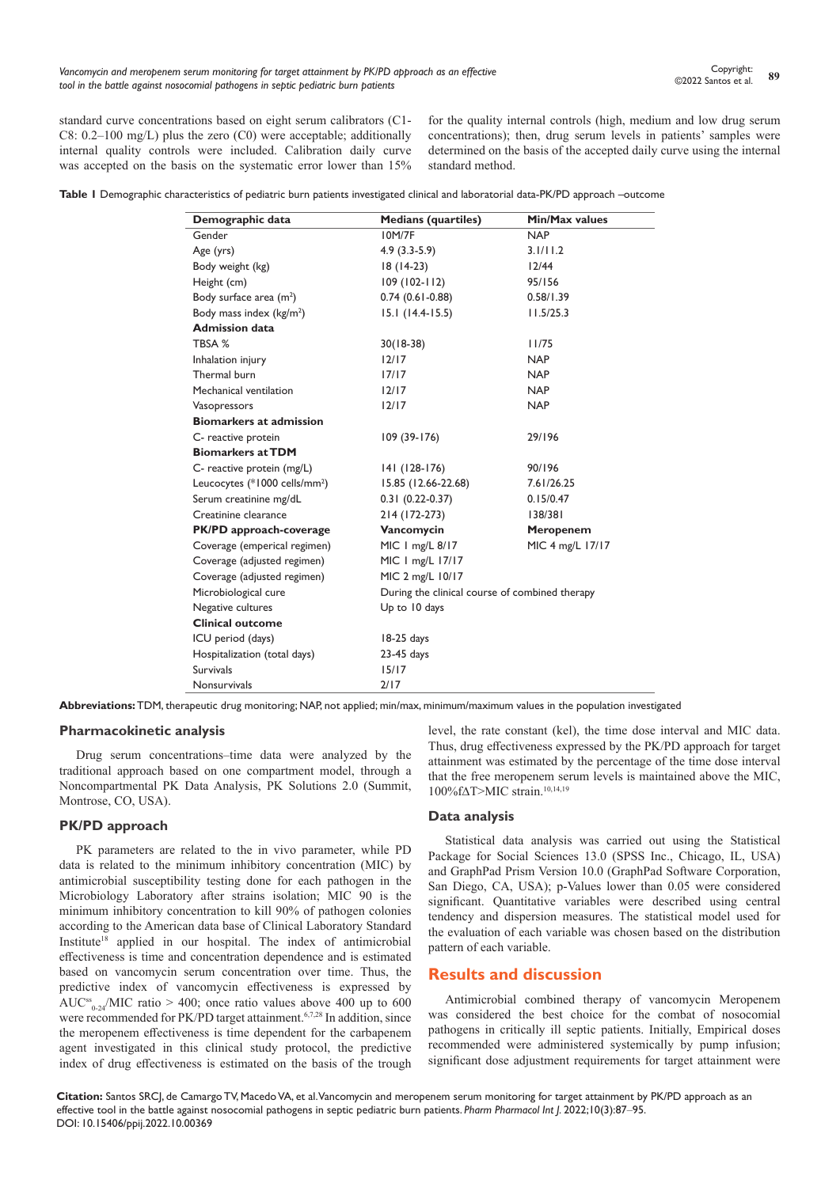standard curve concentrations based on eight serum calibrators (C1- C8: 0.2–100 mg/L) plus the zero (C0) were acceptable; additionally internal quality controls were included. Calibration daily curve was accepted on the basis on the systematic error lower than 15% for the quality internal controls (high, medium and low drug serum concentrations); then, drug serum levels in patients' samples were determined on the basis of the accepted daily curve using the internal standard method.

**Table 1** Demographic characteristics of pediatric burn patients investigated clinical and laboratorial data-PK/PD approach –outcome

| Demographic data                          | <b>Medians (quartiles)</b>                     | Min/Max values   |
|-------------------------------------------|------------------------------------------------|------------------|
| Gender                                    | <b>IOM/7F</b>                                  | <b>NAP</b>       |
| Age (yrs)                                 | $4.9(3.3-5.9)$                                 | 3.1/11.2         |
| Body weight (kg)                          | $18(14-23)$                                    | 12/44            |
| Height (cm)                               | $109(102-112)$                                 | 95/156           |
| Body surface area (m <sup>2</sup> )       | $0.74$ (0.61-0.88)                             | 0.58/1.39        |
| Body mass index (kg/m <sup>2</sup> )      | $15.1(14.4-15.5)$                              | 11.5/25.3        |
| <b>Admission data</b>                     |                                                |                  |
| TBSA %                                    | $30(18-38)$                                    | 11/75            |
| Inhalation injury                         | 12/17                                          | <b>NAP</b>       |
| Thermal burn                              | 17/17                                          | <b>NAP</b>       |
| Mechanical ventilation                    | 12/17                                          | <b>NAP</b>       |
| Vasopressors                              | 12/17                                          | <b>NAP</b>       |
| <b>Biomarkers at admission</b>            |                                                |                  |
| C- reactive protein                       | $109(39-176)$                                  | 29/196           |
| <b>Biomarkers at TDM</b>                  |                                                |                  |
| C- reactive protein (mg/L)                | 141 (128-176)                                  | 90/196           |
| Leucocytes (*1000 cells/mm <sup>2</sup> ) | 15.85 (12.66-22.68)                            | 7.61/26.25       |
| Serum creatinine mg/dL                    | $0.31(0.22-0.37)$                              | 0.15/0.47        |
| Creatinine clearance                      | 214 (172-273)                                  | 138/381          |
| PK/PD approach-coverage                   | Vancomycin                                     | Meropenem        |
| Coverage (emperical regimen)              | MIC   mg/L 8/17                                | MIC 4 mg/L 17/17 |
| Coverage (adjusted regimen)               | MIC   mg/L 17/17                               |                  |
| Coverage (adjusted regimen)               | MIC 2 mg/L 10/17                               |                  |
| Microbiological cure                      | During the clinical course of combined therapy |                  |
| Negative cultures                         | Up to 10 days                                  |                  |
| <b>Clinical outcome</b>                   |                                                |                  |
| ICU period (days)                         | 18-25 days                                     |                  |
| Hospitalization (total days)              | 23-45 days                                     |                  |
| <b>Survivals</b>                          | 15/17                                          |                  |
| Nonsurvivals                              | 2/17                                           |                  |

**Abbreviations:** TDM, therapeutic drug monitoring; NAP, not applied; min/max, minimum/maximum values in the population investigated

#### **Pharmacokinetic analysis**

Drug serum concentrations–time data were analyzed by the traditional approach based on one compartment model, through a Noncompartmental PK Data Analysis, PK Solutions 2.0 (Summit, Montrose, CO, USA).

#### **PK/PD approach**

PK parameters are related to the in vivo parameter, while PD data is related to the minimum inhibitory concentration (MIC) by antimicrobial susceptibility testing done for each pathogen in the Microbiology Laboratory after strains isolation; MIC 90 is the minimum inhibitory concentration to kill 90% of pathogen colonies according to the American data base of Clinical Laboratory Standard Institute<sup>18</sup> applied in our hospital. The index of antimicrobial effectiveness is time and concentration dependence and is estimated based on vancomycin serum concentration over time. Thus, the predictive index of vancomycin effectiveness is expressed by AUC<sup>ss</sup><sub>0-24</sub>/MIC ratio > 400; once ratio values above 400 up to 600 were recommended for PK/PD target attainment.<sup>6,7,28</sup> In addition, since the meropenem effectiveness is time dependent for the carbapenem agent investigated in this clinical study protocol, the predictive index of drug effectiveness is estimated on the basis of the trough

level, the rate constant (kel), the time dose interval and MIC data. Thus, drug effectiveness expressed by the PK/PD approach for target attainment was estimated by the percentage of the time dose interval that the free meropenem serum levels is maintained above the MIC, 100%f∆T>MIC strain.10,14,19

# **Data analysis**

Statistical data analysis was carried out using the Statistical Package for Social Sciences 13.0 (SPSS Inc., Chicago, IL, USA) and GraphPad Prism Version 10.0 (GraphPad Software Corporation, San Diego, CA, USA); p-Values lower than 0.05 were considered significant. Quantitative variables were described using central tendency and dispersion measures. The statistical model used for the evaluation of each variable was chosen based on the distribution pattern of each variable.

## **Results and discussion**

Antimicrobial combined therapy of vancomycin Meropenem was considered the best choice for the combat of nosocomial pathogens in critically ill septic patients. Initially, Empirical doses recommended were administered systemically by pump infusion; significant dose adjustment requirements for target attainment were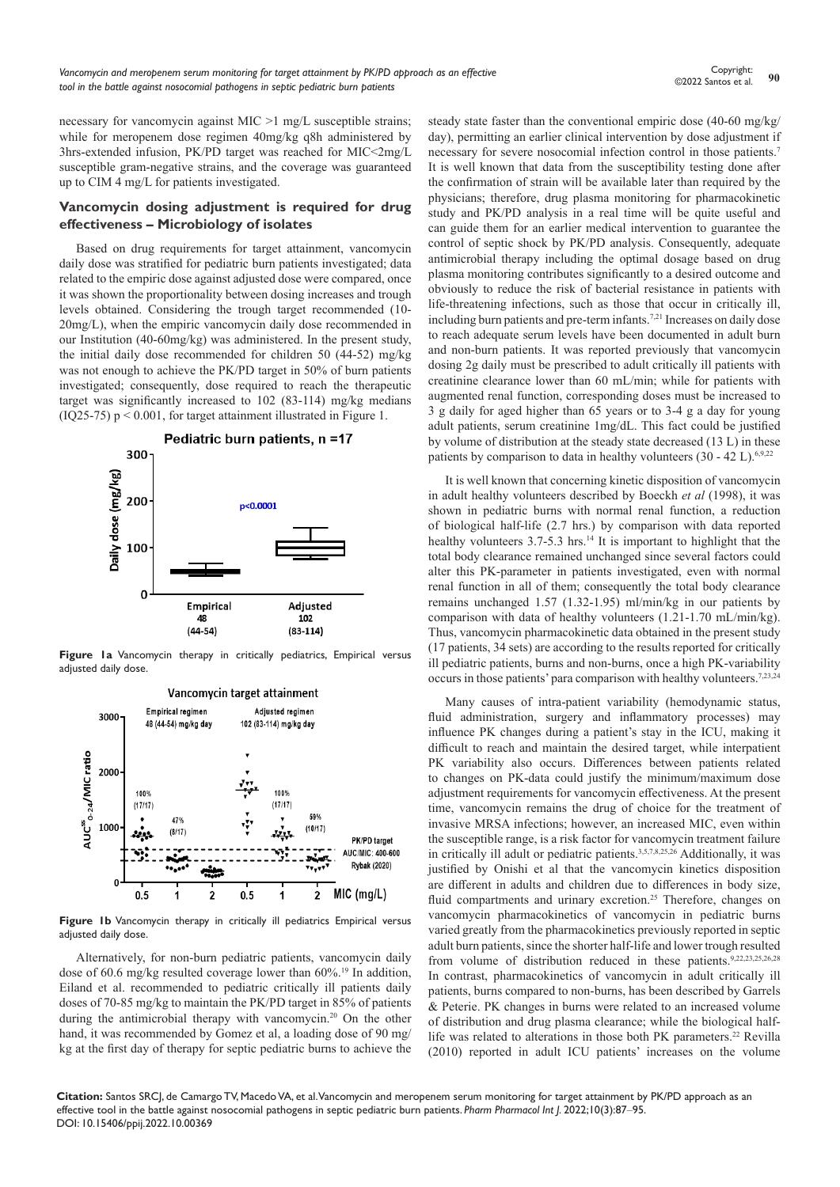necessary for vancomycin against MIC >1 mg/L susceptible strains; while for meropenem dose regimen 40mg/kg q8h administered by 3hrs-extended infusion, PK/PD target was reached for MIC<2mg/L susceptible gram-negative strains, and the coverage was guaranteed up to CIM 4 mg/L for patients investigated.

#### **Vancomycin dosing adjustment is required for drug effectiveness – Microbiology of isolates**

Based on drug requirements for target attainment, vancomycin daily dose was stratified for pediatric burn patients investigated; data related to the empiric dose against adjusted dose were compared, once it was shown the proportionality between dosing increases and trough levels obtained. Considering the trough target recommended (10- 20mg/L), when the empiric vancomycin daily dose recommended in our Institution (40-60mg/kg) was administered. In the present study, the initial daily dose recommended for children 50 (44-52) mg/kg was not enough to achieve the PK/PD target in 50% of burn patients investigated; consequently, dose required to reach the therapeutic target was significantly increased to 102 (83-114) mg/kg medians (IQ25-75) p < 0.001, for target attainment illustrated in Figure 1.



**Figure 1a** Vancomycin therapy in critically pediatrics, Empirical versus adjusted daily dose.



**Figure 1b** Vancomycin therapy in critically ill pediatrics Empirical versus adjusted daily dose.

Alternatively, for non-burn pediatric patients, vancomycin daily dose of 60.6 mg/kg resulted coverage lower than 60%.<sup>19</sup> In addition, Eiland et al. recommended to pediatric critically ill patients daily doses of 70-85 mg/kg to maintain the PK/PD target in 85% of patients during the antimicrobial therapy with vancomycin.20 On the other hand, it was recommended by Gomez et al, a loading dose of 90 mg/ kg at the first day of therapy for septic pediatric burns to achieve the steady state faster than the conventional empiric dose (40-60 mg/kg/ day), permitting an earlier clinical intervention by dose adjustment if necessary for severe nosocomial infection control in those patients.7 It is well known that data from the susceptibility testing done after the confirmation of strain will be available later than required by the physicians; therefore, drug plasma monitoring for pharmacokinetic study and PK/PD analysis in a real time will be quite useful and can guide them for an earlier medical intervention to guarantee the control of septic shock by PK/PD analysis. Consequently, adequate antimicrobial therapy including the optimal dosage based on drug plasma monitoring contributes significantly to a desired outcome and obviously to reduce the risk of bacterial resistance in patients with life-threatening infections, such as those that occur in critically ill, including burn patients and pre-term infants.7,21 Increases on daily dose to reach adequate serum levels have been documented in adult burn and non-burn patients. It was reported previously that vancomycin dosing 2g daily must be prescribed to adult critically ill patients with creatinine clearance lower than 60 mL/min; while for patients with augmented renal function, corresponding doses must be increased to 3 g daily for aged higher than 65 years or to 3-4 g a day for young adult patients, serum creatinine 1mg/dL. This fact could be justified by volume of distribution at the steady state decreased (13 L) in these patients by comparison to data in healthy volunteers  $(30 - 42 \text{ L})$ .<sup>6,9,22</sup>

It is well known that concerning kinetic disposition of vancomycin in adult healthy volunteers described by Boeckh *et al* (1998), it was shown in pediatric burns with normal renal function, a reduction of biological half-life (2.7 hrs.) by comparison with data reported healthy volunteers 3.7-5.3 hrs.<sup>14</sup> It is important to highlight that the total body clearance remained unchanged since several factors could alter this PK-parameter in patients investigated, even with normal renal function in all of them; consequently the total body clearance remains unchanged 1.57 (1.32-1.95) ml/min/kg in our patients by comparison with data of healthy volunteers (1.21-1.70 mL/min/kg). Thus, vancomycin pharmacokinetic data obtained in the present study (17 patients, 34 sets) are according to the results reported for critically ill pediatric patients, burns and non-burns, once a high PK-variability occurs in those patients' para comparison with healthy volunteers.7,23,24

Many causes of intra-patient variability (hemodynamic status, fluid administration, surgery and inflammatory processes) may influence PK changes during a patient's stay in the ICU, making it difficult to reach and maintain the desired target, while interpatient PK variability also occurs. Differences between patients related to changes on PK-data could justify the minimum/maximum dose adjustment requirements for vancomycin effectiveness. At the present time, vancomycin remains the drug of choice for the treatment of invasive MRSA infections; however, an increased MIC, even within the susceptible range, is a risk factor for vancomycin treatment failure in critically ill adult or pediatric patients.<sup>3,5,7,8,25,26</sup> Additionally, it was justified by Onishi et al that the vancomycin kinetics disposition are different in adults and children due to differences in body size, fluid compartments and urinary excretion.<sup>25</sup> Therefore, changes on vancomycin pharmacokinetics of vancomycin in pediatric burns varied greatly from the pharmacokinetics previously reported in septic adult burn patients, since the shorter half-life and lower trough resulted from volume of distribution reduced in these patients.<sup>9,22,23,25,26,28</sup> In contrast, pharmacokinetics of vancomycin in adult critically ill patients, burns compared to non-burns, has been described by Garrels & Peterie. PK changes in burns were related to an increased volume of distribution and drug plasma clearance; while the biological halflife was related to alterations in those both PK parameters.<sup>22</sup> Revilla (2010) reported in adult ICU patients' increases on the volume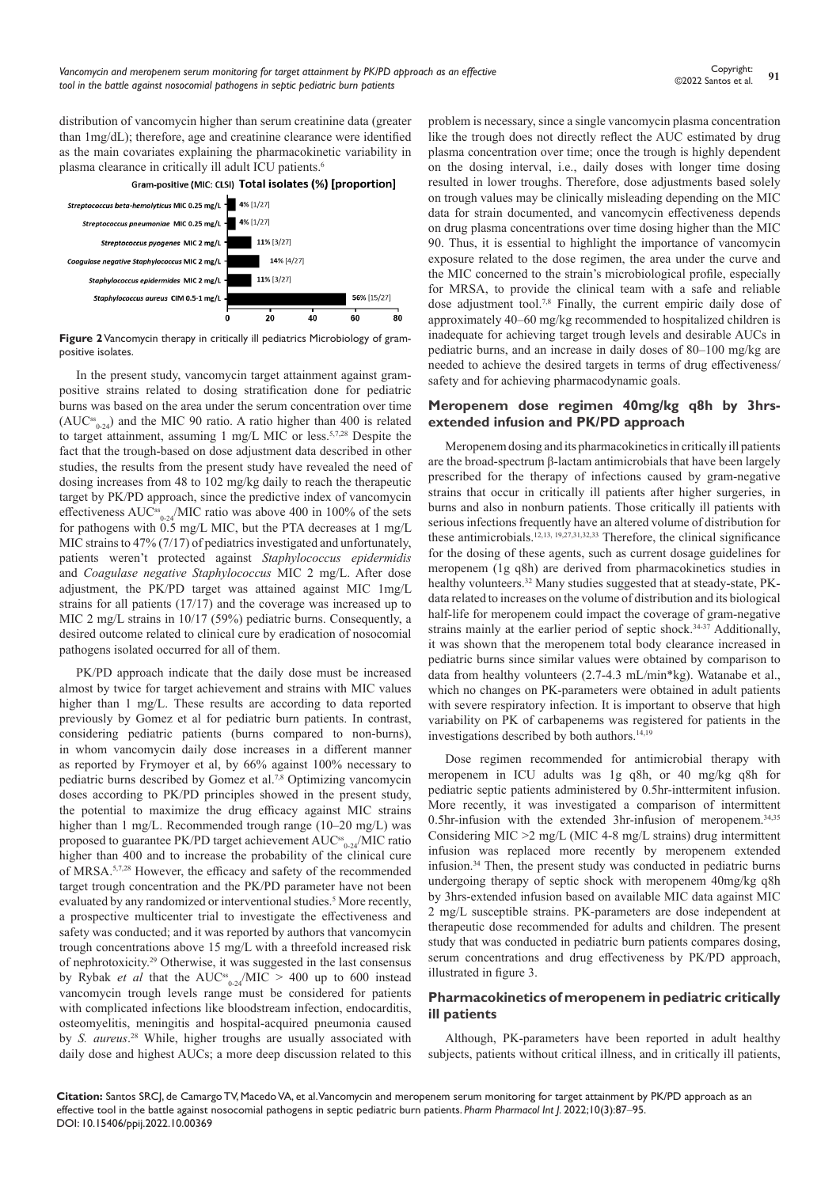distribution of vancomycin higher than serum creatinine data (greater than 1mg/dL); therefore, age and creatinine clearance were identified as the main covariates explaining the pharmacokinetic variability in



**Figure 2** Vancomycin therapy in critically ill pediatrics Microbiology of grampositive isolates.

In the present study, vancomycin target attainment against grampositive strains related to dosing stratification done for pediatric burns was based on the area under the serum concentration over time  $(AUC_{0.24}^s)$  and the MIC 90 ratio. A ratio higher than 400 is related to target attainment, assuming 1 mg/L MIC or less.5,7,28 Despite the fact that the trough-based on dose adjustment data described in other studies, the results from the present study have revealed the need of dosing increases from 48 to 102 mg/kg daily to reach the therapeutic target by PK/PD approach, since the predictive index of vancomycin effectiveness  $AUC_{0.24}^{\text{ss}}/MIC$  ratio was above 400 in 100% of the sets for pathogens with 0.5 mg/L MIC, but the PTA decreases at 1 mg/L MIC strains to 47% (7/17) of pediatrics investigated and unfortunately, patients weren't protected against *Staphylococcus epidermidis* and *Coagulase negative Staphylococcus* MIC 2 mg/L. After dose adjustment, the PK/PD target was attained against MIC 1mg/L strains for all patients (17/17) and the coverage was increased up to MIC 2 mg/L strains in 10/17 (59%) pediatric burns. Consequently, a desired outcome related to clinical cure by eradication of nosocomial pathogens isolated occurred for all of them.

PK/PD approach indicate that the daily dose must be increased almost by twice for target achievement and strains with MIC values higher than 1 mg/L. These results are according to data reported previously by Gomez et al for pediatric burn patients. In contrast, considering pediatric patients (burns compared to non-burns), in whom vancomycin daily dose increases in a different manner as reported by Frymoyer et al, by 66% against 100% necessary to pediatric burns described by Gomez et al.7,8 Optimizing vancomycin doses according to PK/PD principles showed in the present study, the potential to maximize the drug efficacy against MIC strains higher than 1 mg/L. Recommended trough range (10–20 mg/L) was proposed to guarantee PK/PD target achievement AUC<sup>ss</sup><sub>0-24</sub>/MIC ratio higher than 400 and to increase the probability of the clinical cure of MRSA.5,7,28 However, the efficacy and safety of the recommended target trough concentration and the PK/PD parameter have not been evaluated by any randomized or interventional studies.<sup>5</sup> More recently, a prospective multicenter trial to investigate the effectiveness and safety was conducted; and it was reported by authors that vancomycin trough concentrations above 15 mg/L with a threefold increased risk of nephrotoxicity.29 Otherwise, it was suggested in the last consensus by Rybak *et al* that the  $AUC^s{}_{0.24}/MIC > 400$  up to 600 instead vancomycin trough levels range must be considered for patients with complicated infections like bloodstream infection, endocarditis, osteomyelitis, meningitis and hospital-acquired pneumonia caused by *S. aureus*. 28 While, higher troughs are usually associated with daily dose and highest AUCs; a more deep discussion related to this problem is necessary, since a single vancomycin plasma concentration like the trough does not directly reflect the AUC estimated by drug plasma concentration over time; once the trough is highly dependent on the dosing interval, i.e., daily doses with longer time dosing resulted in lower troughs. Therefore, dose adjustments based solely on trough values may be clinically misleading depending on the MIC data for strain documented, and vancomycin effectiveness depends on drug plasma concentrations over time dosing higher than the MIC 90. Thus, it is essential to highlight the importance of vancomycin exposure related to the dose regimen, the area under the curve and the MIC concerned to the strain's microbiological profile, especially for MRSA, to provide the clinical team with a safe and reliable dose adjustment tool.7,8 Finally, the current empiric daily dose of approximately 40–60 mg/kg recommended to hospitalized children is inadequate for achieving target trough levels and desirable AUCs in pediatric burns, and an increase in daily doses of 80–100 mg/kg are needed to achieve the desired targets in terms of drug effectiveness/ safety and for achieving pharmacodynamic goals.

## **Meropenem dose regimen 40mg/kg q8h by 3hrsextended infusion and PK/PD approach**

Meropenem dosing and its pharmacokinetics in critically ill patients are the broad-spectrum β-lactam antimicrobials that have been largely prescribed for the therapy of infections caused by gram-negative strains that occur in critically ill patients after higher surgeries, in burns and also in nonburn patients. Those critically ill patients with serious infections frequently have an altered volume of distribution for these antimicrobials.<sup>12,13, 19,27,31,32,33</sup> Therefore, the clinical significance for the dosing of these agents, such as current dosage guidelines for meropenem (1g q8h) are derived from pharmacokinetics studies in healthy volunteers.<sup>32</sup> Many studies suggested that at steady-state, PKdata related to increases on the volume of distribution and its biological half-life for meropenem could impact the coverage of gram-negative strains mainly at the earlier period of septic shock. $34-37$  Additionally, it was shown that the meropenem total body clearance increased in pediatric burns since similar values were obtained by comparison to data from healthy volunteers (2.7-4.3 mL/min\*kg). Watanabe et al., which no changes on PK-parameters were obtained in adult patients with severe respiratory infection. It is important to observe that high variability on PK of carbapenems was registered for patients in the investigations described by both authors.14,19

Dose regimen recommended for antimicrobial therapy with meropenem in ICU adults was 1g q8h, or 40 mg/kg q8h for pediatric septic patients administered by 0.5hr-inttermitent infusion. More recently, it was investigated a comparison of intermittent 0.5hr-infusion with the extended 3hr-infusion of meropenem.34,35 Considering MIC >2 mg/L (MIC 4-8 mg/L strains) drug intermittent infusion was replaced more recently by meropenem extended infusion.34 Then, the present study was conducted in pediatric burns undergoing therapy of septic shock with meropenem 40mg/kg q8h by 3hrs-extended infusion based on available MIC data against MIC 2 mg/L susceptible strains. PK-parameters are dose independent at therapeutic dose recommended for adults and children. The present study that was conducted in pediatric burn patients compares dosing, serum concentrations and drug effectiveness by PK/PD approach, illustrated in figure 3.

# **Pharmacokinetics of meropenem in pediatric critically ill patients**

Although, PK-parameters have been reported in adult healthy subjects, patients without critical illness, and in critically ill patients,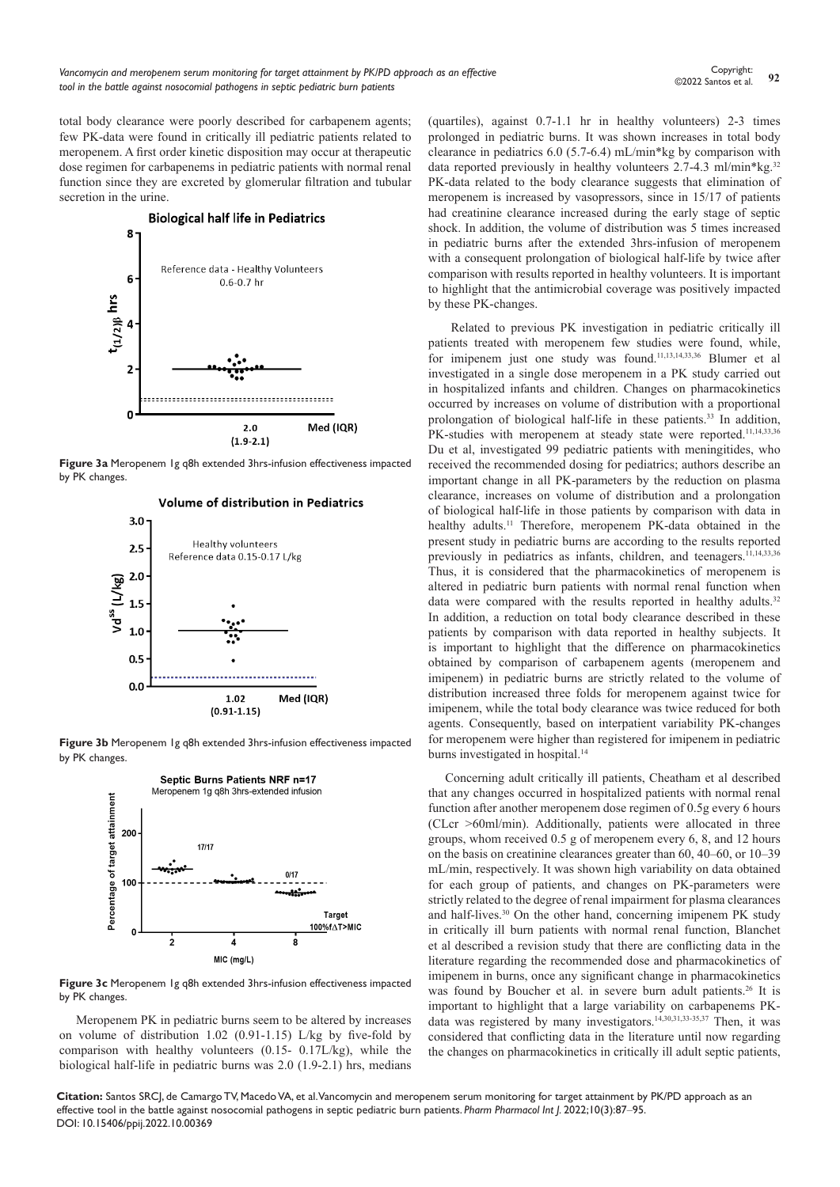total body clearance were poorly described for carbapenem agents; few PK-data were found in critically ill pediatric patients related to meropenem. A first order kinetic disposition may occur at therapeutic dose regimen for carbapenems in pediatric patients with normal renal function since they are excreted by glomerular filtration and tubular secretion in the urine.



**Figure 3a** Meropenem 1g q8h extended 3hrs-infusion effectiveness impacted by PK changes.



Volume of distribution in Pediatrics

**Figure 3b** Meropenem 1g q8h extended 3hrs-infusion effectiveness impacted by PK changes.



**Figure 3c** Meropenem 1g q8h extended 3hrs-infusion effectiveness impacted by PK changes.

Meropenem PK in pediatric burns seem to be altered by increases on volume of distribution 1.02 (0.91-1.15) L/kg by five-fold by comparison with healthy volunteers (0.15- 0.17L/kg), while the biological half-life in pediatric burns was 2.0 (1.9-2.1) hrs, medians (quartiles), against 0.7-1.1 hr in healthy volunteers) 2-3 times prolonged in pediatric burns. It was shown increases in total body clearance in pediatrics 6.0 (5.7-6.4) mL/min\*kg by comparison with data reported previously in healthy volunteers 2.7-4.3 ml/min\*kg.32 PK-data related to the body clearance suggests that elimination of meropenem is increased by vasopressors, since in 15/17 of patients had creatinine clearance increased during the early stage of septic shock. In addition, the volume of distribution was 5 times increased in pediatric burns after the extended 3hrs-infusion of meropenem with a consequent prolongation of biological half-life by twice after comparison with results reported in healthy volunteers. It is important to highlight that the antimicrobial coverage was positively impacted by these PK-changes.

 Related to previous PK investigation in pediatric critically ill patients treated with meropenem few studies were found, while, for imipenem just one study was found.11,13,14,33,36 Blumer et al investigated in a single dose meropenem in a PK study carried out in hospitalized infants and children. Changes on pharmacokinetics occurred by increases on volume of distribution with a proportional prolongation of biological half-life in these patients.<sup>33</sup> In addition, PK-studies with meropenem at steady state were reported.<sup>11,14,33,36</sup> Du et al, investigated 99 pediatric patients with meningitides, who received the recommended dosing for pediatrics; authors describe an important change in all PK-parameters by the reduction on plasma clearance, increases on volume of distribution and a prolongation of biological half-life in those patients by comparison with data in healthy adults.<sup>11</sup> Therefore, meropenem PK-data obtained in the present study in pediatric burns are according to the results reported previously in pediatrics as infants, children, and teenagers.<sup>11,14,33,36</sup> Thus, it is considered that the pharmacokinetics of meropenem is altered in pediatric burn patients with normal renal function when data were compared with the results reported in healthy adults.<sup>32</sup> In addition, a reduction on total body clearance described in these patients by comparison with data reported in healthy subjects. It is important to highlight that the difference on pharmacokinetics obtained by comparison of carbapenem agents (meropenem and imipenem) in pediatric burns are strictly related to the volume of distribution increased three folds for meropenem against twice for imipenem, while the total body clearance was twice reduced for both agents. Consequently, based on interpatient variability PK-changes for meropenem were higher than registered for imipenem in pediatric burns investigated in hospital.<sup>14</sup>

Concerning adult critically ill patients, Cheatham et al described that any changes occurred in hospitalized patients with normal renal function after another meropenem dose regimen of 0.5g every 6 hours (CLcr >60ml/min). Additionally, patients were allocated in three groups, whom received 0.5 g of meropenem every 6, 8, and 12 hours on the basis on creatinine clearances greater than 60, 40–60, or 10–39 mL/min, respectively. It was shown high variability on data obtained for each group of patients, and changes on PK-parameters were strictly related to the degree of renal impairment for plasma clearances and half-lives.<sup>30</sup> On the other hand, concerning imipenem PK study in critically ill burn patients with normal renal function, Blanchet et al described a revision study that there are conflicting data in the literature regarding the recommended dose and pharmacokinetics of imipenem in burns, once any significant change in pharmacokinetics was found by Boucher et al. in severe burn adult patients.<sup>26</sup> It is important to highlight that a large variability on carbapenems PKdata was registered by many investigators.14,30,31,33-35,37 Then, it was considered that conflicting data in the literature until now regarding the changes on pharmacokinetics in critically ill adult septic patients,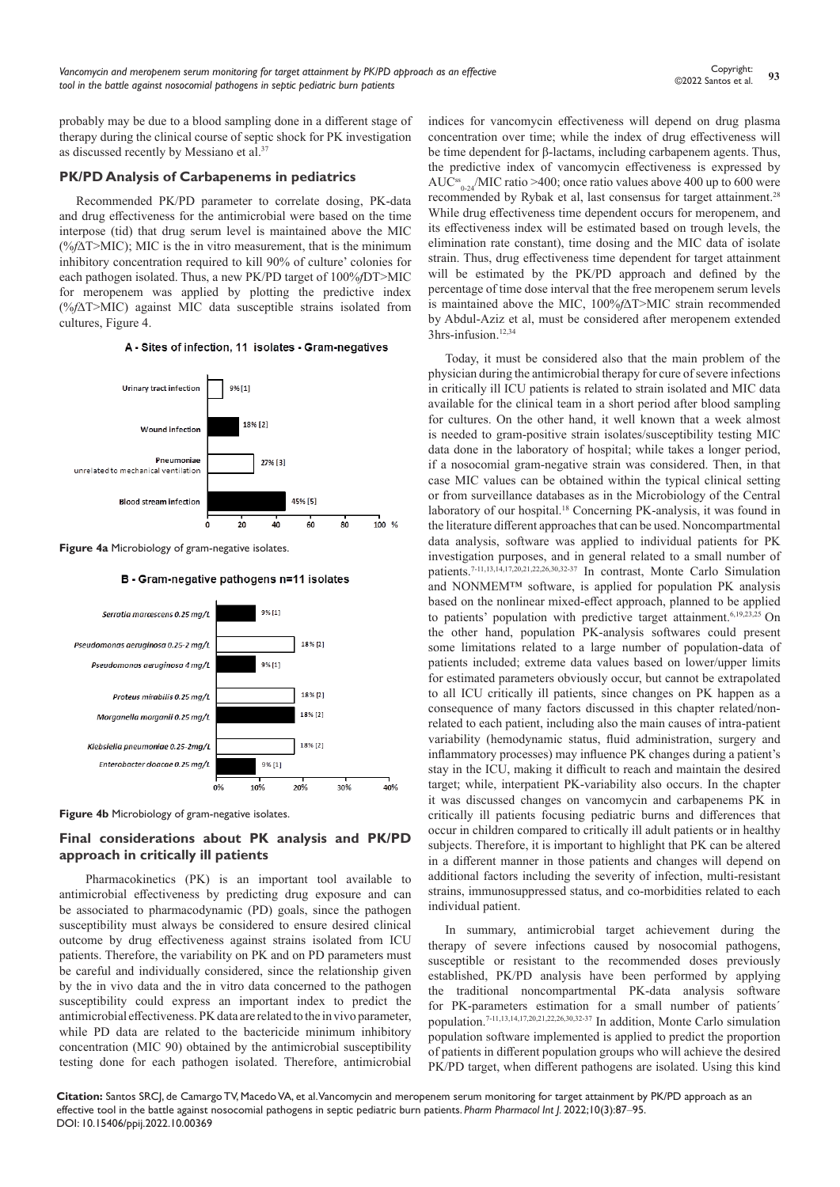probably may be due to a blood sampling done in a different stage of therapy during the clinical course of septic shock for PK investigation as discussed recently by Messiano et al.<sup>37</sup>

#### **PK/PD Analysis of Carbapenems in pediatrics**

Recommended PK/PD parameter to correlate dosing, PK-data and drug effectiveness for the antimicrobial were based on the time interpose (tid) that drug serum level is maintained above the MIC (%*f*∆T>MIC); MIC is the in vitro measurement, that is the minimum inhibitory concentration required to kill 90% of culture' colonies for each pathogen isolated. Thus, a new PK/PD target of 100%*f*DT>MIC for meropenem was applied by plotting the predictive index (%*f*∆T>MIC) against MIC data susceptible strains isolated from cultures, Figure 4.

#### A - Sites of infection, 11 isolates - Gram-negatives



**Figure 4a** Microbiology of gram-negative isolates.



#### B - Gram-negative pathogens n=11 isolates

**Figure 4b** Microbiology of gram-negative isolates.

# **Final considerations about PK analysis and PK/PD approach in critically ill patients**

 Pharmacokinetics (PK) is an important tool available to antimicrobial effectiveness by predicting drug exposure and can be associated to pharmacodynamic (PD) goals, since the pathogen susceptibility must always be considered to ensure desired clinical outcome by drug effectiveness against strains isolated from ICU patients. Therefore, the variability on PK and on PD parameters must be careful and individually considered, since the relationship given by the in vivo data and the in vitro data concerned to the pathogen susceptibility could express an important index to predict the antimicrobial effectiveness. PK data are related to the in vivo parameter, while PD data are related to the bactericide minimum inhibitory concentration (MIC 90) obtained by the antimicrobial susceptibility testing done for each pathogen isolated. Therefore, antimicrobial

indices for vancomycin effectiveness will depend on drug plasma concentration over time; while the index of drug effectiveness will be time dependent for β-lactams, including carbapenem agents. Thus, the predictive index of vancomycin effectiveness is expressed by  $AUC_{0.24}^{ss}/MIC$  ratio >400; once ratio values above 400 up to 600 were recommended by Rybak et al, last consensus for target attainment.<sup>28</sup> While drug effectiveness time dependent occurs for meropenem, and its effectiveness index will be estimated based on trough levels, the elimination rate constant), time dosing and the MIC data of isolate strain. Thus, drug effectiveness time dependent for target attainment will be estimated by the PK/PD approach and defined by the percentage of time dose interval that the free meropenem serum levels is maintained above the MIC, 100%*f*∆T>MIC strain recommended by Abdul-Aziz et al, must be considered after meropenem extended 3hrs-infusion.<sup>12,34</sup>

Today, it must be considered also that the main problem of the physician during the antimicrobial therapy for cure of severe infections in critically ill ICU patients is related to strain isolated and MIC data available for the clinical team in a short period after blood sampling for cultures. On the other hand, it well known that a week almost is needed to gram-positive strain isolates/susceptibility testing MIC data done in the laboratory of hospital; while takes a longer period, if a nosocomial gram-negative strain was considered. Then, in that case MIC values can be obtained within the typical clinical setting or from surveillance databases as in the Microbiology of the Central laboratory of our hospital.18 Concerning PK-analysis, it was found in the literature different approaches that can be used. Noncompartmental data analysis, software was applied to individual patients for PK investigation purposes, and in general related to a small number of patients.7-11,13,14,17,20,21,22,26,30,32-37 In contrast, Monte Carlo Simulation and NONMEM™ software, is applied for population PK analysis based on the nonlinear mixed-effect approach, planned to be applied to patients' population with predictive target attainment.<sup>6,19,23,25</sup> On the other hand, population PK-analysis softwares could present some limitations related to a large number of population-data of patients included; extreme data values based on lower/upper limits for estimated parameters obviously occur, but cannot be extrapolated to all ICU critically ill patients, since changes on PK happen as a consequence of many factors discussed in this chapter related/nonrelated to each patient, including also the main causes of intra-patient variability (hemodynamic status, fluid administration, surgery and inflammatory processes) may influence PK changes during a patient's stay in the ICU, making it difficult to reach and maintain the desired target; while, interpatient PK-variability also occurs. In the chapter it was discussed changes on vancomycin and carbapenems PK in critically ill patients focusing pediatric burns and differences that occur in children compared to critically ill adult patients or in healthy subjects. Therefore, it is important to highlight that PK can be altered in a different manner in those patients and changes will depend on additional factors including the severity of infection, multi-resistant strains, immunosuppressed status, and co-morbidities related to each individual patient.

In summary, antimicrobial target achievement during the therapy of severe infections caused by nosocomial pathogens, susceptible or resistant to the recommended doses previously established, PK/PD analysis have been performed by applying the traditional noncompartmental PK-data analysis software for PK-parameters estimation for a small number of patients´ population.7-11,13,14,17,20,21,22,26,30,32-37 In addition, Monte Carlo simulation population software implemented is applied to predict the proportion of patients in different population groups who will achieve the desired PK/PD target, when different pathogens are isolated. Using this kind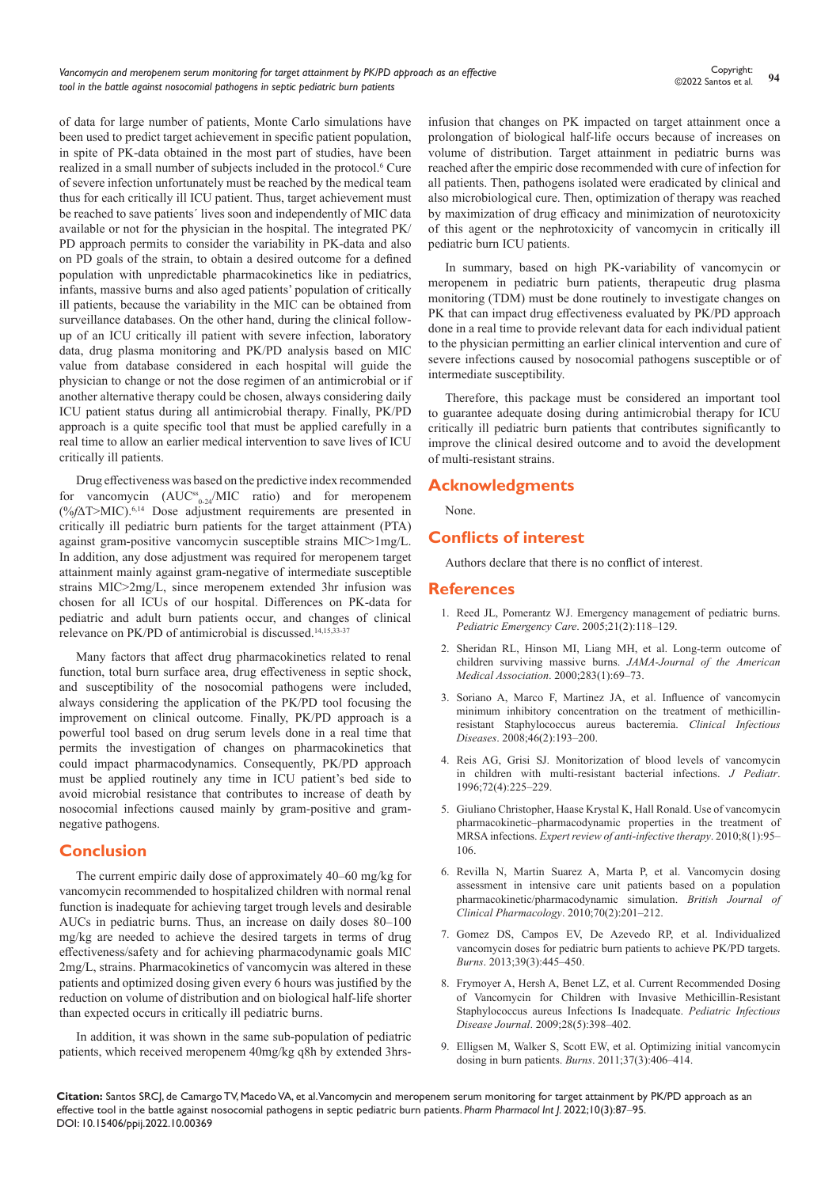of data for large number of patients, Monte Carlo simulations have been used to predict target achievement in specific patient population, in spite of PK-data obtained in the most part of studies, have been realized in a small number of subjects included in the protocol.6 Cure of severe infection unfortunately must be reached by the medical team thus for each critically ill ICU patient. Thus, target achievement must be reached to save patients´ lives soon and independently of MIC data available or not for the physician in the hospital. The integrated PK/ PD approach permits to consider the variability in PK-data and also on PD goals of the strain, to obtain a desired outcome for a defined population with unpredictable pharmacokinetics like in pediatrics, infants, massive burns and also aged patients' population of critically ill patients, because the variability in the MIC can be obtained from surveillance databases. On the other hand, during the clinical followup of an ICU critically ill patient with severe infection, laboratory data, drug plasma monitoring and PK/PD analysis based on MIC value from database considered in each hospital will guide the physician to change or not the dose regimen of an antimicrobial or if another alternative therapy could be chosen, always considering daily ICU patient status during all antimicrobial therapy. Finally, PK/PD approach is a quite specific tool that must be applied carefully in a real time to allow an earlier medical intervention to save lives of ICU critically ill patients.

Drug effectiveness was based on the predictive index recommended for vancomycin  $(AUC_{0.24}^s/MIC$  ratio) and for meropenem (%*f*∆T>MIC).6,14 Dose adjustment requirements are presented in critically ill pediatric burn patients for the target attainment (PTA) against gram-positive vancomycin susceptible strains MIC>1mg/L. In addition, any dose adjustment was required for meropenem target attainment mainly against gram-negative of intermediate susceptible strains MIC>2mg/L, since meropenem extended 3hr infusion was chosen for all ICUs of our hospital. Differences on PK-data for pediatric and adult burn patients occur, and changes of clinical relevance on PK/PD of antimicrobial is discussed.14,15,33-37

Many factors that affect drug pharmacokinetics related to renal function, total burn surface area, drug effectiveness in septic shock, and susceptibility of the nosocomial pathogens were included, always considering the application of the PK/PD tool focusing the improvement on clinical outcome. Finally, PK/PD approach is a powerful tool based on drug serum levels done in a real time that permits the investigation of changes on pharmacokinetics that could impact pharmacodynamics. Consequently, PK/PD approach must be applied routinely any time in ICU patient's bed side to avoid microbial resistance that contributes to increase of death by nosocomial infections caused mainly by gram-positive and gramnegative pathogens.

# **Conclusion**

The current empiric daily dose of approximately 40–60 mg/kg for vancomycin recommended to hospitalized children with normal renal function is inadequate for achieving target trough levels and desirable AUCs in pediatric burns. Thus, an increase on daily doses 80–100 mg/kg are needed to achieve the desired targets in terms of drug effectiveness/safety and for achieving pharmacodynamic goals MIC 2mg/L, strains. Pharmacokinetics of vancomycin was altered in these patients and optimized dosing given every 6 hours was justified by the reduction on volume of distribution and on biological half-life shorter than expected occurs in critically ill pediatric burns.

In addition, it was shown in the same sub-population of pediatric patients, which received meropenem 40mg/kg q8h by extended 3hrsinfusion that changes on PK impacted on target attainment once a prolongation of biological half-life occurs because of increases on volume of distribution. Target attainment in pediatric burns was reached after the empiric dose recommended with cure of infection for all patients. Then, pathogens isolated were eradicated by clinical and also microbiological cure. Then, optimization of therapy was reached by maximization of drug efficacy and minimization of neurotoxicity of this agent or the nephrotoxicity of vancomycin in critically ill pediatric burn ICU patients.

In summary, based on high PK-variability of vancomycin or meropenem in pediatric burn patients, therapeutic drug plasma monitoring (TDM) must be done routinely to investigate changes on PK that can impact drug effectiveness evaluated by PK/PD approach done in a real time to provide relevant data for each individual patient to the physician permitting an earlier clinical intervention and cure of severe infections caused by nosocomial pathogens susceptible or of intermediate susceptibility.

Therefore, this package must be considered an important tool to guarantee adequate dosing during antimicrobial therapy for ICU critically ill pediatric burn patients that contributes significantly to improve the clinical desired outcome and to avoid the development of multi-resistant strains.

# **Acknowledgments**

None.

# **Conflicts of interest**

Authors declare that there is no conflict of interest.

#### **References**

- 1. [Reed JL, Pomerantz WJ. Emergency management of pediatric burns.](https://pubmed.ncbi.nlm.nih.gov/29622333/)  *[Pediatric Emergency Care](https://pubmed.ncbi.nlm.nih.gov/29622333/)*. 2005;21(2):118–129.
- 2. [Sheridan RL, Hinson MI, Liang MH, et al. Long-term outcome of](https://pubmed.ncbi.nlm.nih.gov/10632282/)  [children surviving massive burns.](https://pubmed.ncbi.nlm.nih.gov/10632282/) *JAMA-Journal of the American Medical Association*[. 2000;283\(1\):69–73.](https://pubmed.ncbi.nlm.nih.gov/10632282/)
- 3. [Soriano A, Marco F, Martinez JA, et al. Influence of vancomycin](https://pubmed.ncbi.nlm.nih.gov/18171250/)  [minimum inhibitory concentration on the treatment of methicillin](https://pubmed.ncbi.nlm.nih.gov/18171250/)[resistant Staphylococcus aureus bacteremia.](https://pubmed.ncbi.nlm.nih.gov/18171250/) *Clinical Infectious Diseases*[. 2008;46\(2\):193–200.](https://pubmed.ncbi.nlm.nih.gov/18171250/)
- 4. [Reis AG, Grisi SJ. Monitorization of blood levels of vancomycin](https://pubmed.ncbi.nlm.nih.gov/14688932/)  [in children with multi-resistant bacterial infections.](https://pubmed.ncbi.nlm.nih.gov/14688932/) *J Pediatr*. [1996;72\(4\):225–229.](https://pubmed.ncbi.nlm.nih.gov/14688932/)
- 5. [Giuliano Christopher, Haase Krystal K, Hall Ronald. Use of vancomycin](https://pubmed.ncbi.nlm.nih.gov/20014904/)  [pharmacokinetic–pharmacodynamic properties in the treatment of](https://pubmed.ncbi.nlm.nih.gov/20014904/)  MRSA infections. *[Expert review of anti-infective therapy](https://pubmed.ncbi.nlm.nih.gov/20014904/)*. 2010;8(1):95– [106.](https://pubmed.ncbi.nlm.nih.gov/20014904/)
- 6. [Revilla N, Martin Suarez A, Marta P, et al. Vancomycin dosing](https://pubmed.ncbi.nlm.nih.gov/20653673/)  [assessment in intensive care unit patients based on a population](https://pubmed.ncbi.nlm.nih.gov/20653673/)  [pharmacokinetic/pharmacodynamic simulation.](https://pubmed.ncbi.nlm.nih.gov/20653673/) *British Journal of [Clinical Pharmacology](https://pubmed.ncbi.nlm.nih.gov/20653673/)*. 2010;70(2):201–212.
- 7. [Gomez DS, Campos EV, De Azevedo RP, et al. Individualized](https://pubmed.ncbi.nlm.nih.gov/22867735/)  [vancomycin doses for pediatric burn patients to achieve PK/PD targets.](https://pubmed.ncbi.nlm.nih.gov/22867735/)  *Burns*[. 2013;39\(3\):445–450.](https://pubmed.ncbi.nlm.nih.gov/22867735/)
- 8. [Frymoyer A, Hersh A, Benet LZ, et al. Current Recommended Dosing](https://pubmed.ncbi.nlm.nih.gov/19295465/)  [of Vancomycin for Children with Invasive Methicillin-Resistant](https://pubmed.ncbi.nlm.nih.gov/19295465/)  [Staphylococcus aureus Infections Is Inadequate.](https://pubmed.ncbi.nlm.nih.gov/19295465/) *Pediatric Infectious Disease Journal*[. 2009;28\(5\):398–402.](https://pubmed.ncbi.nlm.nih.gov/19295465/)
- 9. [Elligsen M, Walker S, Scott EW, et al. Optimizing initial vancomycin](https://pubmed.ncbi.nlm.nih.gov/21095062/)  [dosing in burn patients.](https://pubmed.ncbi.nlm.nih.gov/21095062/) *Burns*. 2011;37(3):406–414.